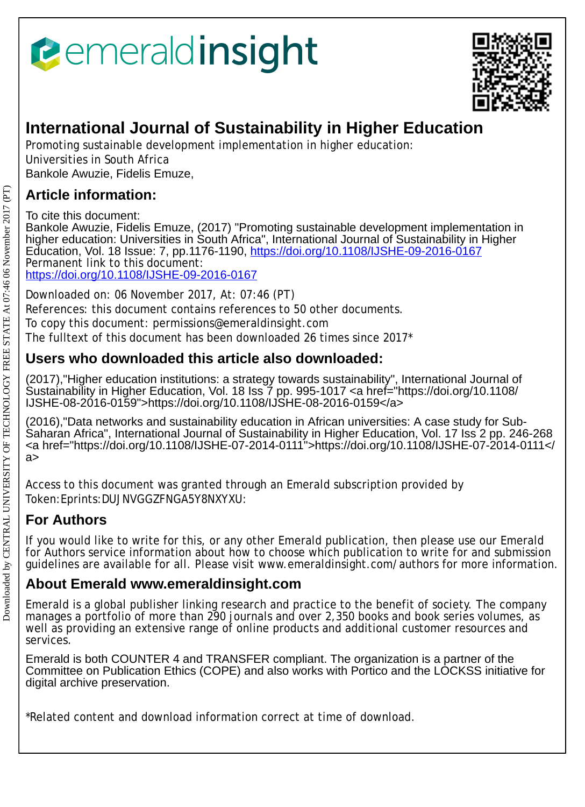# *<u><b>e*emeraldinsight</u>



## **International Journal of Sustainability in Higher Education**

Promoting sustainable development implementation in higher education: Universities in South Africa Bankole Awuzie, Fidelis Emuze,

## **Article information:**

To cite this document:

Bankole Awuzie, Fidelis Emuze, (2017) "Promoting sustainable development implementation in higher education: Universities in South Africa", International Journal of Sustainability in Higher Education, Vol. 18 Issue: 7, pp.1176-1190,<https://doi.org/10.1108/IJSHE-09-2016-0167> Permanent link to this document: <https://doi.org/10.1108/IJSHE-09-2016-0167>

Downloaded on: 06 November 2017, At: 07:46 (PT)

References: this document contains references to 50 other documents.

To copy this document: permissions@emeraldinsight.com

The fulltext of this document has been downloaded 26 times since 2017\*

### **Users who downloaded this article also downloaded:**

(2017),"Higher education institutions: a strategy towards sustainability", International Journal of Sustainability in Higher Education, Vol. 18 Iss 7 pp. 995-1017 <a href="https://doi.org/10.1108/ IJSHE-08-2016-0159">https://doi.org/10.1108/IJSHE-08-2016-0159</a>

(2016),"Data networks and sustainability education in African universities: A case study for Sub-Saharan Africa", International Journal of Sustainability in Higher Education, Vol. 17 Iss 2 pp. 246-268 <a href="https://doi.org/10.1108/IJSHE-07-2014-0111">https://doi.org/10.1108/IJSHE-07-2014-0111</ a>

Access to this document was granted through an Emerald subscription provided by Token:Eprints:DUJNVGGZFNGA5Y8NXYXU:

## **For Authors**

If you would like to write for this, or any other Emerald publication, then please use our Emerald for Authors service information about how to choose which publication to write for and submission guidelines are available for all. Please visit www.emeraldinsight.com/authors for more information.

## **About Emerald www.emeraldinsight.com**

Emerald is a global publisher linking research and practice to the benefit of society. The company manages a portfolio of more than 290 journals and over 2,350 books and book series volumes, as well as providing an extensive range of online products and additional customer resources and services.

Emerald is both COUNTER 4 and TRANSFER compliant. The organization is a partner of the Committee on Publication Ethics (COPE) and also works with Portico and the LOCKSS initiative for digital archive preservation.

\*Related content and download information correct at time of download.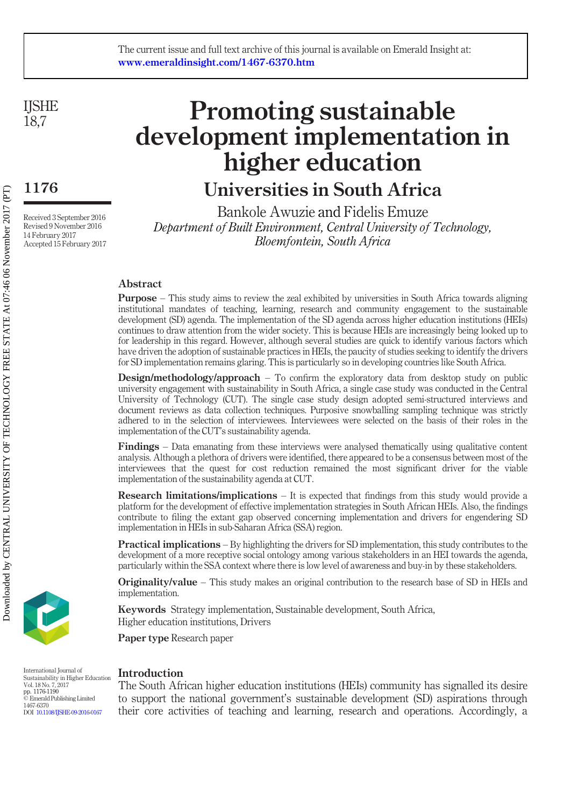IJSHE 18,7

1176

Received 3 September 2016 Revised 9 November 2016 14 February 2017 Accepted 15 February 2017

## Promoting sustainable development implementation in higher education

## Universities in South Africa

Bankole Awuzie and Fidelis Emuze Department of Built Environment, Central University of Technology, Bloemfontein, South Africa

#### Abstract

Purpose – This study aims to review the zeal exhibited by universities in South Africa towards aligning institutional mandates of teaching, learning, research and community engagement to the sustainable development (SD) agenda. The implementation of the SD agenda across higher education institutions (HEIs) continues to draw attention from the wider society. This is because HEIs are increasingly being looked up to for leadership in this regard. However, although several studies are quick to identify various factors which have driven the adoption of sustainable practices in HEIs, the paucity of studies seeking to identify the drivers for SD implementation remains glaring. This is particularly so in developing countries like South Africa.

Design/methodology/approach – To confirm the exploratory data from desktop study on public university engagement with sustainability in South Africa, a single case study was conducted in the Central University of Technology (CUT). The single case study design adopted semi-structured interviews and document reviews as data collection techniques. Purposive snowballing sampling technique was strictly adhered to in the selection of interviewees. Interviewees were selected on the basis of their roles in the implementation of the CUT's sustainability agenda.

Findings – Data emanating from these interviews were analysed thematically using qualitative content analysis. Although a plethora of drivers were identified, there appeared to be a consensus between most of the interviewees that the quest for cost reduction remained the most significant driver for the viable implementation of the sustainability agenda at CUT.

**Research limitations/implications**  $-$  It is expected that findings from this study would provide a platform for the development of effective implementation strategies in South African HEIs. Also, the findings contribute to filing the extant gap observed concerning implementation and drivers for engendering SD implementation in HEIs in sub-Saharan Africa (SSA) region.

Practical implications – By highlighting the drivers for SD implementation, this study contributes to the development of a more receptive social ontology among various stakeholders in an HEI towards the agenda, particularly within the SSA context where there is low level of awareness and buy-in by these stakeholders.

**Originality/value** – This study makes an original contribution to the research base of SD in HEIs and implementation.

Keywords Strategy implementation, Sustainable development, South Africa, Higher education institutions, Drivers

Paper type Research paper

International Journal of Sustainability in Higher Education Vol. 18 No. 7, 2017 pp. 1176-1190 © Emerald Publishing Limited 1467-6370 DOI [10.1108/IJSHE-09-2016-0167](http://dx.doi.org/10.1108/IJSHE-09-2016-0167)

#### Introduction

The South African higher education institutions (HEIs) community has signalled its desire to support the national government's sustainable development (SD) aspirations through their core activities of teaching and learning, research and operations. Accordingly, a

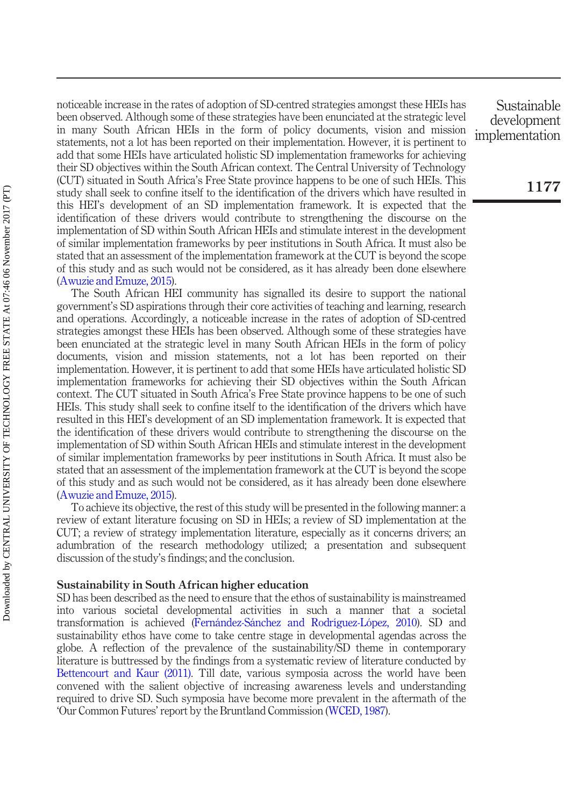noticeable increase in the rates of adoption of SD-centred strategies amongst these HEIs has been observed. Although some of these strategies have been enunciated at the strategic level in many South African HEIs in the form of policy documents, vision and mission statements, not a lot has been reported on their implementation. However, it is pertinent to add that some HEIs have articulated holistic SD implementation frameworks for achieving their SD objectives within the South African context. The Central University of Technology (CUT) situated in South Africa's Free State province happens to be one of such HEIs. This study shall seek to confine itself to the identification of the drivers which have resulted in this HEI's development of an SD implementation framework. It is expected that the identification of these drivers would contribute to strengthening the discourse on the implementation of SD within South African HEIs and stimulate interest in the development of similar implementation frameworks by peer institutions in South Africa. It must also be stated that an assessment of the implementation framework at the CUT is beyond the scope of this study and as such would not be considered, as it has already been done elsewhere [\(Awuzie and Emuze, 2015\)](#page-12-0).

The South African HEI community has signalled its desire to support the national government's SD aspirations through their core activities of teaching and learning, research and operations. Accordingly, a noticeable increase in the rates of adoption of SD-centred strategies amongst these HEIs has been observed. Although some of these strategies have been enunciated at the strategic level in many South African HEIs in the form of policy documents, vision and mission statements, not a lot has been reported on their implementation. However, it is pertinent to add that some HEIs have articulated holistic SD implementation frameworks for achieving their SD objectives within the South African context. The CUT situated in South Africa's Free State province happens to be one of such HEIs. This study shall seek to confine itself to the identification of the drivers which have resulted in this HEI's development of an SD implementation framework. It is expected that the identification of these drivers would contribute to strengthening the discourse on the implementation of SD within South African HEIs and stimulate interest in the development of similar implementation frameworks by peer institutions in South Africa. It must also be stated that an assessment of the implementation framework at the CUT is beyond the scope of this study and as such would not be considered, as it has already been done elsewhere [\(Awuzie and Emuze, 2015\)](#page-12-0).

To achieve its objective, the rest of this study will be presented in the following manner: a review of extant literature focusing on SD in HEIs; a review of SD implementation at the CUT; a review of strategy implementation literature, especially as it concerns drivers; an adumbration of the research methodology utilized; a presentation and subsequent discussion of the study's findings; and the conclusion.

#### Sustainability in South African higher education

SD has been described as the need to ensure that the ethos of sustainability is mainstreamed into various societal developmental activities in such a manner that a societal transformation is achieved [\(Fernández-Sánchez and Rodríguez-López, 2010\)](#page-13-0). SD and sustainability ethos have come to take centre stage in developmental agendas across the globe. A reflection of the prevalence of the sustainability/SD theme in contemporary literature is buttressed by the findings from a systematic review of literature conducted by [Bettencourt and Kaur \(2011\)](#page-12-1). Till date, various symposia across the world have been convened with the salient objective of increasing awareness levels and understanding required to drive SD. Such symposia have become more prevalent in the aftermath of the 'Our Common Futures' report by the Bruntland Commission ([WCED, 1987\)](#page-14-0).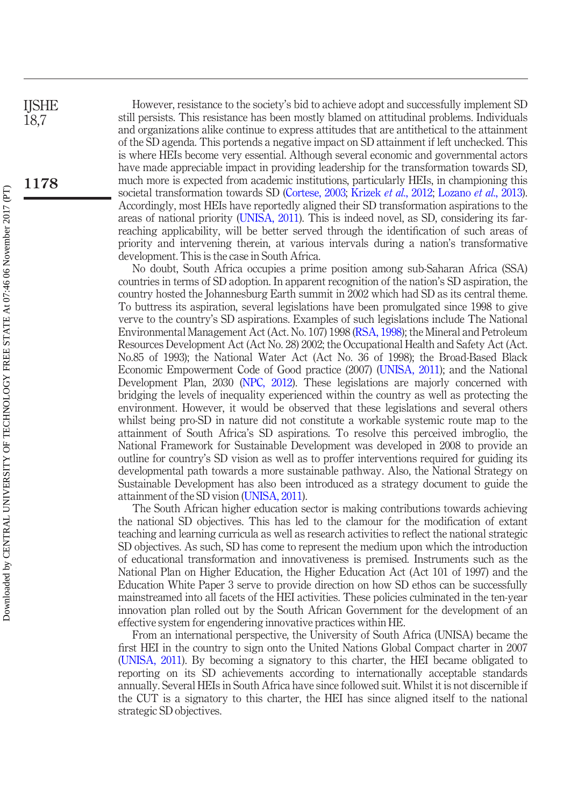However, resistance to the society's bid to achieve adopt and successfully implement SD still persists. This resistance has been mostly blamed on attitudinal problems. Individuals and organizations alike continue to express attitudes that are antithetical to the attainment of the SD agenda. This portends a negative impact on SD attainment if left unchecked. This is where HEIs become very essential. Although several economic and governmental actors have made appreciable impact in providing leadership for the transformation towards SD, much more is expected from academic institutions, particularly HEIs, in championing this societal transformation towards SD [\(Cortese, 2003;](#page-12-2) [Krizek](#page-13-1) et al., 2012; [Lozano](#page-13-2) et al., 2013). Accordingly, most HEIs have reportedly aligned their SD transformation aspirations to the areas of national priority [\(UNISA, 2011](#page-14-1)). This is indeed novel, as SD, considering its farreaching applicability, will be better served through the identification of such areas of priority and intervening therein, at various intervals during a nation's transformative development. This is the case in South Africa.

No doubt, South Africa occupies a prime position among sub-Saharan Africa (SSA) countries in terms of SD adoption. In apparent recognition of the nation's SD aspiration, the country hosted the Johannesburg Earth summit in 2002 which had SD as its central theme. To buttress its aspiration, several legislations have been promulgated since 1998 to give verve to the country's SD aspirations. Examples of such legislations include The National Environmental Management Act (Act. No. 107) 1998 ([RSA, 1998\)](#page-13-3); the Mineral and Petroleum Resources Development Act (Act No. 28) 2002; the Occupational Health and Safety Act (Act. No.85 of 1993); the National Water Act (Act No. 36 of 1998); the Broad-Based Black Economic Empowerment Code of Good practice (2007) [\(UNISA, 2011\)](#page-14-1); and the National Development Plan, 2030 ([NPC, 2012\)](#page-13-4). These legislations are majorly concerned with bridging the levels of inequality experienced within the country as well as protecting the environment. However, it would be observed that these legislations and several others whilst being pro-SD in nature did not constitute a workable systemic route map to the attainment of South Africa's SD aspirations. To resolve this perceived imbroglio, the National Framework for Sustainable Development was developed in 2008 to provide an outline for country's SD vision as well as to proffer interventions required for guiding its developmental path towards a more sustainable pathway. Also, the National Strategy on Sustainable Development has also been introduced as a strategy document to guide the attainment of the SD vision [\(UNISA, 2011](#page-14-1)).

The South African higher education sector is making contributions towards achieving the national SD objectives. This has led to the clamour for the modification of extant teaching and learning curricula as well as research activities to reflect the national strategic SD objectives. As such, SD has come to represent the medium upon which the introduction of educational transformation and innovativeness is premised. Instruments such as the National Plan on Higher Education, the Higher Education Act (Act 101 of 1997) and the Education White Paper 3 serve to provide direction on how SD ethos can be successfully mainstreamed into all facets of the HEI activities. These policies culminated in the ten-year innovation plan rolled out by the South African Government for the development of an effective system for engendering innovative practices within HE.

From an international perspective, the University of South Africa (UNISA) became the first HEI in the country to sign onto the United Nations Global Compact charter in 2007 [\(UNISA, 2011](#page-14-1)). By becoming a signatory to this charter, the HEI became obligated to reporting on its SD achievements according to internationally acceptable standards annually. Several HEIs in South Africa have since followed suit. Whilst it is not discernible if the CUT is a signatory to this charter, the HEI has since aligned itself to the national strategic SD objectives.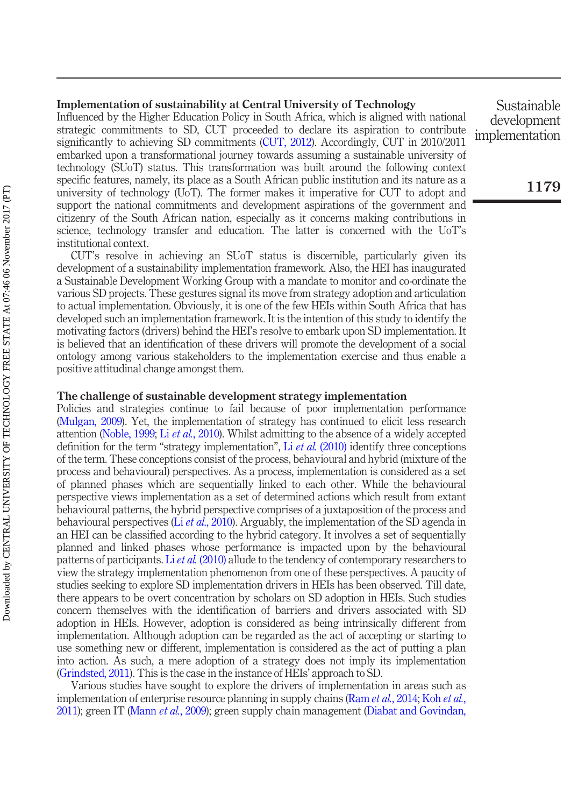#### Implementation of sustainability at Central University of Technology

Influenced by the Higher Education Policy in South Africa, which is aligned with national strategic commitments to SD, CUT proceeded to declare its aspiration to contribute significantly to achieving SD commitments ([CUT, 2012\)](#page-12-3). Accordingly, CUT in 2010/2011 embarked upon a transformational journey towards assuming a sustainable university of technology (SUoT) status. This transformation was built around the following context specific features, namely, its place as a South African public institution and its nature as a university of technology (UoT). The former makes it imperative for CUT to adopt and support the national commitments and development aspirations of the government and citizenry of the South African nation, especially as it concerns making contributions in science, technology transfer and education. The latter is concerned with the UoT's institutional context.

CUT's resolve in achieving an SUoT status is discernible, particularly given its development of a sustainability implementation framework. Also, the HEI has inaugurated a Sustainable Development Working Group with a mandate to monitor and co-ordinate the various SD projects. These gestures signal its move from strategy adoption and articulation to actual implementation. Obviously, it is one of the few HEIs within South Africa that has developed such an implementation framework. It is the intention of this study to identify the motivating factors (drivers) behind the HEI's resolve to embark upon SD implementation. It is believed that an identification of these drivers will promote the development of a social ontology among various stakeholders to the implementation exercise and thus enable a positive attitudinal change amongst them.

#### The challenge of sustainable development strategy implementation

Policies and strategies continue to fail because of poor implementation performance [\(Mulgan, 2009\)](#page-13-5). Yet, the implementation of strategy has continued to elicit less research attention ([Noble, 1999;](#page-13-6) Li et al.[, 2010\)](#page-13-7). Whilst admitting to the absence of a widely accepted definition for the term "strategy implementation", Li et al.  $(2010)$  identify three conceptions of the term. These conceptions consist of the process, behavioural and hybrid (mixture of the process and behavioural) perspectives. As a process, implementation is considered as a set of planned phases which are sequentially linked to each other. While the behavioural perspective views implementation as a set of determined actions which result from extant behavioural patterns, the hybrid perspective comprises of a juxtaposition of the process and behavioural perspectives (Li *et al.*, 2010). Arguably, the implementation of the SD agenda in an HEI can be classified according to the hybrid category. It involves a set of sequentially planned and linked phases whose performance is impacted upon by the behavioural patterns of participants. Li et al. [\(2010\)](#page-13-7) allude to the tendency of contemporary researchers to view the strategy implementation phenomenon from one of these perspectives. A paucity of studies seeking to explore SD implementation drivers in HEIs has been observed. Till date, there appears to be overt concentration by scholars on SD adoption in HEIs. Such studies concern themselves with the identification of barriers and drivers associated with SD adoption in HEIs. However, adoption is considered as being intrinsically different from implementation. Although adoption can be regarded as the act of accepting or starting to use something new or different, implementation is considered as the act of putting a plan into action. As such, a mere adoption of a strategy does not imply its implementation [\(Grindsted, 2011](#page-13-8)). This is the case in the instance of HEIs' approach to SD.

Various studies have sought to explore the drivers of implementation in areas such as implementation of enterprise resource planning in supply chains (Ram *[et al.](#page-13-10)*[, 2014](#page-13-9); Koh *et al.*, [2011\)](#page-13-10); green IT [\(Mann](#page-13-11) *et al.*, 2009); green supply chain management [\(Diabat and Govindan,](#page-13-12)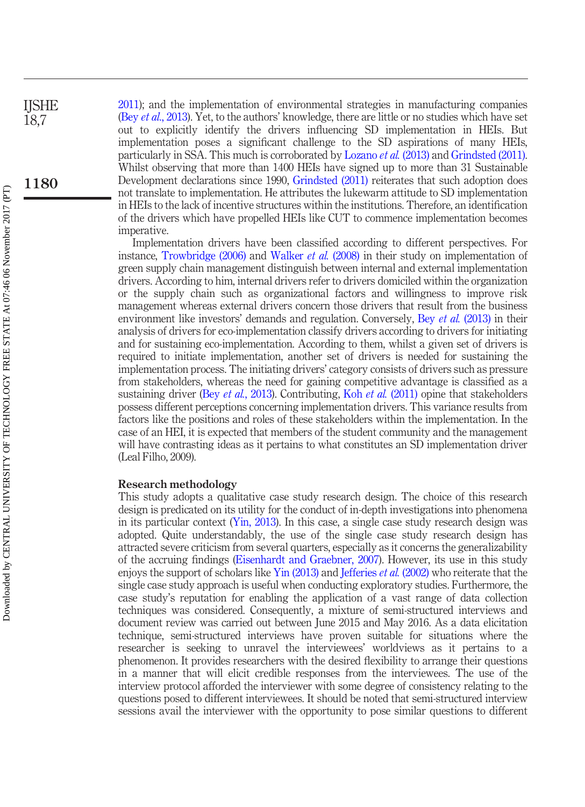[2011](#page-13-12)); and the implementation of environmental strategies in manufacturing companies (Bey *et al.*, 2013). Yet, to the authors' knowledge, there are little or no studies which have set out to explicitly identify the drivers influencing SD implementation in HEIs. But implementation poses a significant challenge to the SD aspirations of many HEIs, particularly in SSA. This much is corroborated by [Lozano](#page-13-2) et al. (2013) and [Grindsted \(2011\).](#page-13-8) Whilst observing that more than 1400 HEIs have signed up to more than 31 Sustainable Development declarations since 1990, [Grindsted \(2011\)](#page-13-8) reiterates that such adoption does not translate to implementation. He attributes the lukewarm attitude to SD implementation in HEIs to the lack of incentive structures within the institutions. Therefore, an identification of the drivers which have propelled HEIs like CUT to commence implementation becomes imperative.

Implementation drivers have been classified according to different perspectives. For instance, [Trowbridge \(2006\)](#page-14-2) and [Walker](#page-14-3) *et al.* (2008) in their study on implementation of green supply chain management distinguish between internal and external implementation drivers. According to him, internal drivers refer to drivers domiciled within the organization or the supply chain such as organizational factors and willingness to improve risk management whereas external drivers concern those drivers that result from the business environment like investors' demands and regulation. Conversely, Bey *et al.* [\(2013\)](#page-12-4) in their analysis of drivers for eco-implementation classify drivers according to drivers for initiating and for sustaining eco-implementation. According to them, whilst a given set of drivers is required to initiate implementation, another set of drivers is needed for sustaining the implementation process. The initiating drivers' category consists of drivers such as pressure from stakeholders, whereas the need for gaining competitive advantage is classified as a sustaining driver (Bey *et al.*[, 2013](#page-12-4)). Contributing, Koh *et al.* [\(2011\)](#page-13-10) opine that stakeholders possess different perceptions concerning implementation drivers. This variance results from factors like the positions and roles of these stakeholders within the implementation. In the case of an HEI, it is expected that members of the student community and the management will have contrasting ideas as it pertains to what constitutes an SD implementation driver (Leal Filho, 2009).

#### Research methodology

This study adopts a qualitative case study research design. The choice of this research design is predicated on its utility for the conduct of in-depth investigations into phenomena in its particular context [\(Yin, 2013\)](#page-14-4). In this case, a single case study research design was adopted. Quite understandably, the use of the single case study research design has attracted severe criticism from several quarters, especially as it concerns the generalizability of the accruing findings ([Eisenhardt and Graebner, 2007\)](#page-13-13). However, its use in this study enjoys the support of scholars like Yin  $(2013)$  and [Jefferies](#page-13-14) *et al.*  $(2002)$  who reiterate that the single case study approach is useful when conducting exploratory studies. Furthermore, the case study's reputation for enabling the application of a vast range of data collection techniques was considered. Consequently, a mixture of semi-structured interviews and document review was carried out between June 2015 and May 2016. As a data elicitation technique, semi-structured interviews have proven suitable for situations where the researcher is seeking to unravel the interviewees' worldviews as it pertains to a phenomenon. It provides researchers with the desired flexibility to arrange their questions in a manner that will elicit credible responses from the interviewees. The use of the interview protocol afforded the interviewer with some degree of consistency relating to the questions posed to different interviewees. It should be noted that semi-structured interview sessions avail the interviewer with the opportunity to pose similar questions to different

IJSHE 18,7

#### 1180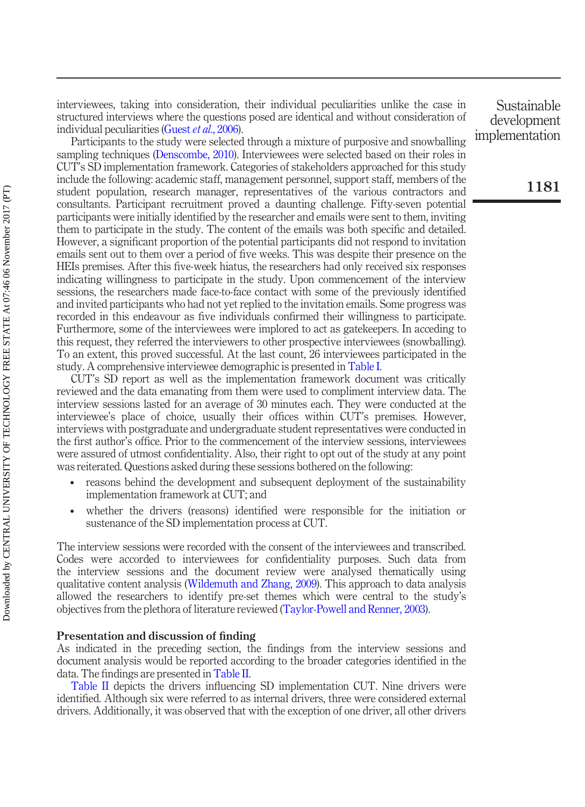interviewees, taking into consideration, their individual peculiarities unlike the case in structured interviews where the questions posed are identical and without consideration of individual peculiarities (Guest et al[., 2006\)](#page-13-15).

Participants to the study were selected through a mixture of purposive and snowballing sampling techniques [\(Denscombe, 2010](#page-13-16)). Interviewees were selected based on their roles in CUT's SD implementation framework. Categories of stakeholders approached for this study include the following: academic staff, management personnel, support staff, members of the student population, research manager, representatives of the various contractors and consultants. Participant recruitment proved a daunting challenge. Fifty-seven potential participants were initially identified by the researcher and emails were sent to them, inviting them to participate in the study. The content of the emails was both specific and detailed. However, a significant proportion of the potential participants did not respond to invitation emails sent out to them over a period of five weeks. This was despite their presence on the HEIs premises. After this five-week hiatus, the researchers had only received six responses indicating willingness to participate in the study. Upon commencement of the interview sessions, the researchers made face-to-face contact with some of the previously identified and invited participants who had not yet replied to the invitation emails. Some progress was recorded in this endeavour as five individuals confirmed their willingness to participate. Furthermore, some of the interviewees were implored to act as gatekeepers. In acceding to this request, they referred the interviewers to other prospective interviewees (snowballing). To an extent, this proved successful. At the last count, 26 interviewees participated in the study. A comprehensive interviewee demographic is presented in [Table I](#page-7-0).

CUT's SD report as well as the implementation framework document was critically reviewed and the data emanating from them were used to compliment interview data. The interview sessions lasted for an average of 30 minutes each. They were conducted at the interviewee's place of choice, usually their offices within CUT's premises. However, interviews with postgraduate and undergraduate student representatives were conducted in the first author's office. Prior to the commencement of the interview sessions, interviewees were assured of utmost confidentiality. Also, their right to opt out of the study at any point was reiterated. Questions asked during these sessions bothered on the following:

- reasons behind the development and subsequent deployment of the sustainability implementation framework at CUT; and
- whether the drivers (reasons) identified were responsible for the initiation or sustenance of the SD implementation process at CUT.

The interview sessions were recorded with the consent of the interviewees and transcribed. Codes were accorded to interviewees for confidentiality purposes. Such data from the interview sessions and the document review were analysed thematically using qualitative content analysis [\(Wildemuth and Zhang, 2009](#page-14-5)). This approach to data analysis allowed the researchers to identify pre-set themes which were central to the study's objectives from the plethora of literature reviewed ([Taylor-Powell and Renner, 2003\)](#page-14-6).

#### Presentation and discussion of finding

As indicated in the preceding section, the findings from the interview sessions and document analysis would be reported according to the broader categories identified in the data. The findings are presented in [Table II.](#page-8-0)

[Table II](#page-8-0) depicts the drivers influencing SD implementation CUT. Nine drivers were identified. Although six were referred to as internal drivers, three were considered external drivers. Additionally, it was observed that with the exception of one driver, all other drivers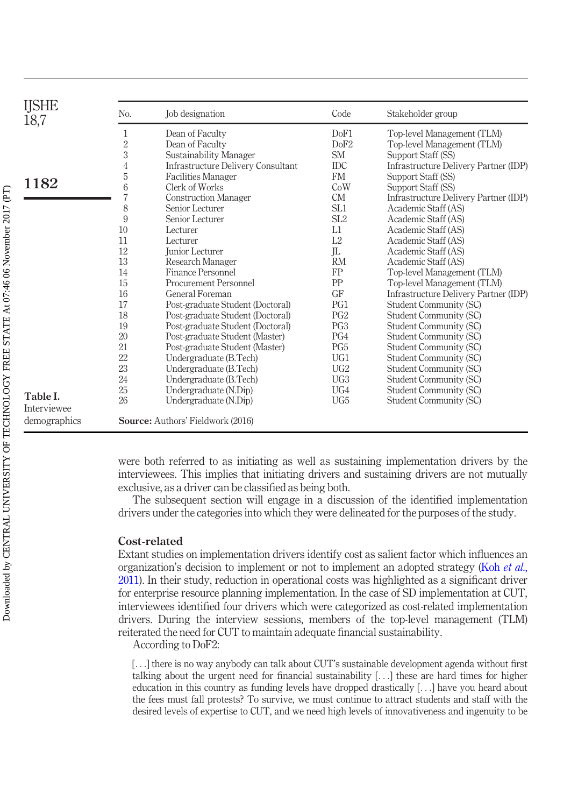| <b>ISHE</b><br>18,7         | N <sub>o</sub> | Job designation                          | Code            | Stakeholder group                     |
|-----------------------------|----------------|------------------------------------------|-----------------|---------------------------------------|
|                             | 1              | Dean of Faculty                          | DoF1            | Top-level Management (TLM)            |
|                             | $\overline{2}$ | Dean of Faculty                          | DoF2            | Top-level Management (TLM)            |
|                             | 3              | Sustainability Manager                   | <b>SM</b>       | Support Staff (SS)                    |
|                             | $\overline{4}$ | Infrastructure Delivery Consultant       | <b>IDC</b>      | Infrastructure Delivery Partner (IDP) |
|                             | 5              | <b>Facilities Manager</b>                | <b>FM</b>       | Support Staff (SS)                    |
| 1182                        | 6              | Clerk of Works                           | CoW             | Support Staff (SS)                    |
|                             | $\overline{7}$ | <b>Construction Manager</b>              | <b>CM</b>       | Infrastructure Delivery Partner (IDP) |
|                             | $\,$ $\,$      | Senior Lecturer                          | SL1             | Academic Staff (AS)                   |
|                             | 9              | Senior Lecturer                          | SL <sub>2</sub> | Academic Staff (AS)                   |
|                             | 10             | Lecturer                                 | L1              | Academic Staff (AS)                   |
|                             | 11             | Lecturer                                 | L2              | Academic Staff (AS)                   |
|                             | 12             | <b>Iunior Lecturer</b>                   | JL              | Academic Staff (AS)                   |
|                             | 13             | Research Manager                         | <b>RM</b>       | Academic Staff (AS)                   |
|                             | 14             | Finance Personnel                        | <b>FP</b>       | Top-level Management (TLM)            |
|                             | 15             | Procurement Personnel                    | PP              | Top-level Management (TLM)            |
|                             | 16             | General Foreman                          | GF              | Infrastructure Delivery Partner (IDP) |
|                             | 17             | Post-graduate Student (Doctoral)         | PG1             | Student Community (SC)                |
|                             | 18             | Post-graduate Student (Doctoral)         | PG <sub>2</sub> | Student Community (SC)                |
|                             | 19             | Post-graduate Student (Doctoral)         | PG <sub>3</sub> | Student Community (SC)                |
|                             | 20             | Post-graduate Student (Master)           | PG4             | Student Community (SC)                |
|                             | 21             | Post-graduate Student (Master)           | PG <sub>5</sub> | Student Community (SC)                |
|                             | 22             | Undergraduate (B.Tech)                   | UG1             | Student Community (SC)                |
|                             | 23             | Undergraduate (B.Tech)                   | UG <sub>2</sub> | Student Community (SC)                |
|                             | 24             | Undergraduate (B.Tech)                   | UG <sub>3</sub> | Student Community (SC)                |
|                             | 25             | Undergraduate (N.Dip)                    | UG4             | Student Community (SC)                |
| Table I.                    | 26             | Undergraduate (N.Dip)                    | UG <sub>5</sub> | Student Community (SC)                |
| Interviewee<br>demographics |                | <b>Source:</b> Authors' Fieldwork (2016) |                 |                                       |

<span id="page-7-0"></span>were both referred to as initiating as well as sustaining implementation drivers by the interviewees. This implies that initiating drivers and sustaining drivers are not mutually exclusive, as a driver can be classified as being both.

The subsequent section will engage in a discussion of the identified implementation drivers under the categories into which they were delineated for the purposes of the study.

#### Cost-related

Extant studies on implementation drivers identify cost as salient factor which influences an organization's decision to implement or not to implement an adopted strategy (Koh *[et al](#page-13-10).*, [2011](#page-13-10)). In their study, reduction in operational costs was highlighted as a significant driver for enterprise resource planning implementation. In the case of SD implementation at CUT, interviewees identified four drivers which were categorized as cost-related implementation drivers. During the interview sessions, members of the top-level management (TLM) reiterated the need for CUT to maintain adequate financial sustainability.

According to DoF2:

[...] there is no way anybody can talk about CUT's sustainable development agenda without first talking about the urgent need for financial sustainability [...] these are hard times for higher education in this country as funding levels have dropped drastically [...] have you heard about the fees must fall protests? To survive, we must continue to attract students and staff with the desired levels of expertise to CUT, and we need high levels of innovativeness and ingenuity to be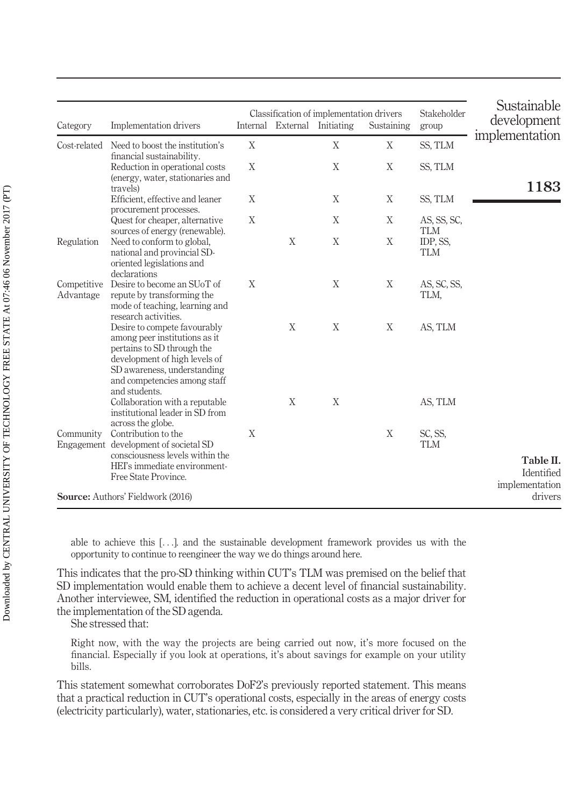| Category                 | Implementation drivers                                                                                                                                                                                       |   |   | Classification of implementation drivers<br>Internal External Initiating | Sustaining | Stakeholder<br>group      | Sustainable<br>development                |
|--------------------------|--------------------------------------------------------------------------------------------------------------------------------------------------------------------------------------------------------------|---|---|--------------------------------------------------------------------------|------------|---------------------------|-------------------------------------------|
|                          | Cost-related Need to boost the institution's                                                                                                                                                                 | X |   | X                                                                        | X          | SS, TLM                   | implementation                            |
|                          | financial sustainability.<br>Reduction in operational costs<br>(energy, water, stationaries and                                                                                                              | X |   | X                                                                        | X          | SS, TLM                   |                                           |
|                          | travels)<br>Efficient, effective and leaner<br>procurement processes.                                                                                                                                        | X |   | X                                                                        | X          | SS, TLM                   | 1183                                      |
|                          | Quest for cheaper, alternative<br>sources of energy (renewable).                                                                                                                                             | X |   | X                                                                        | X          | AS, SS, SC,<br><b>TLM</b> |                                           |
| Regulation               | Need to conform to global,<br>national and provincial SD-<br>oriented legislations and<br>declarations                                                                                                       |   | X | X                                                                        | X          | IDP, SS,<br><b>TLM</b>    |                                           |
| Competitive<br>Advantage | Desire to become an SUoT of<br>repute by transforming the<br>mode of teaching, learning and<br>research activities.                                                                                          | X |   | X                                                                        | X          | AS, SC, SS,<br>TLM,       |                                           |
|                          | Desire to compete favourably<br>among peer institutions as it<br>pertains to SD through the<br>development of high levels of<br>SD awareness, understanding<br>and competencies among staff<br>and students. |   | X | X                                                                        | X          | AS, TLM                   |                                           |
|                          | Collaboration with a reputable<br>institutional leader in SD from<br>across the globe.                                                                                                                       |   | X | X                                                                        |            | AS, TLM                   |                                           |
| Community                | Contribution to the<br>Engagement development of societal SD                                                                                                                                                 | X |   |                                                                          | X          | SC, SS,<br><b>TLM</b>     |                                           |
|                          | consciousness levels within the<br>HEI's immediate environment-<br>Free State Province.                                                                                                                      |   |   |                                                                          |            |                           | Table II.<br>Identified<br>implementation |
|                          | <b>Source:</b> Authors' Fieldwork (2016)                                                                                                                                                                     |   |   |                                                                          |            |                           | drivers                                   |

<span id="page-8-0"></span>able to achieve this [...]. and the sustainable development framework provides us with the opportunity to continue to reengineer the way we do things around here.

This indicates that the pro-SD thinking within CUT's TLM was premised on the belief that SD implementation would enable them to achieve a decent level of financial sustainability. Another interviewee, SM, identified the reduction in operational costs as a major driver for the implementation of the SD agenda.

She stressed that:

Right now, with the way the projects are being carried out now, it's more focused on the financial. Especially if you look at operations, it's about savings for example on your utility bills.

This statement somewhat corroborates DoF2's previously reported statement. This means that a practical reduction in CUT's operational costs, especially in the areas of energy costs (electricity particularly), water, stationaries, etc. is considered a very critical driver for SD.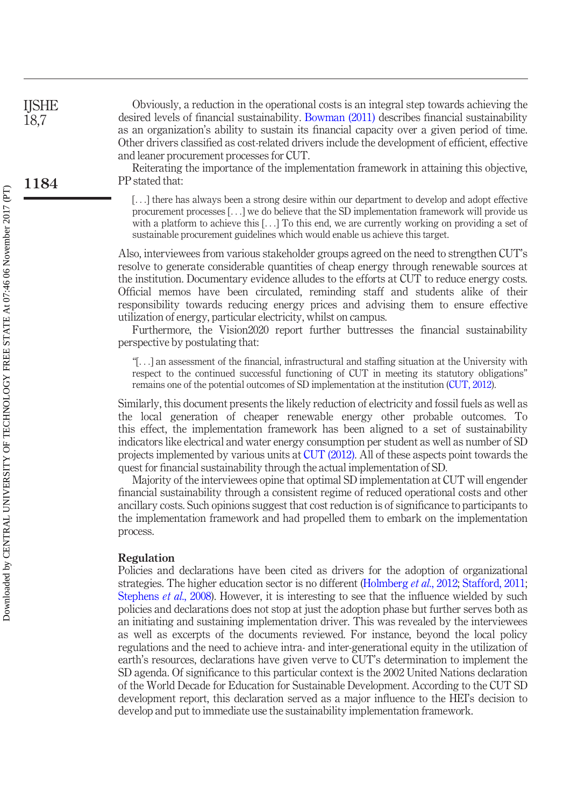| <b>IJSHE</b><br>18,7 | Obviously, a reduction in the operational costs is an integral step towards achieving the<br>desired levels of financial sustainability. Bowman (2011) describes financial sustainability<br>as an organization's ability to sustain its financial capacity over a given period of time. |
|----------------------|------------------------------------------------------------------------------------------------------------------------------------------------------------------------------------------------------------------------------------------------------------------------------------------|
|                      | Other drivers classified as cost-related drivers include the development of efficient, effective<br>and leaner procurement processes for CUT.                                                                                                                                            |
| 1184                 | Reiterating the importance of the implementation framework in attaining this objective.<br>PP stated that:                                                                                                                                                                               |
|                      | [] there has always been a strong desire within our department to develop and adopt effective                                                                                                                                                                                            |

procurement processes [...] we do believe that the SD implementation framework will provide us with a platform to achieve this [...] To this end, we are currently working on providing a set of sustainable procurement guidelines which would enable us achieve this target.

Also, interviewees from various stakeholder groups agreed on the need to strengthen CUT's resolve to generate considerable quantities of cheap energy through renewable sources at the institution. Documentary evidence alludes to the efforts at CUT to reduce energy costs. Official memos have been circulated, reminding staff and students alike of their responsibility towards reducing energy prices and advising them to ensure effective utilization of energy, particular electricity, whilst on campus.

Furthermore, the Vision2020 report further buttresses the financial sustainability perspective by postulating that:

"[...] an assessment of the financial, infrastructural and staffing situation at the University with respect to the continued successful functioning of CUT in meeting its statutory obligations" remains one of the potential outcomes of SD implementation at the institution ([CUT, 2012\)](#page-12-3).

Similarly, this document presents the likely reduction of electricity and fossil fuels as well as the local generation of cheaper renewable energy other probable outcomes. To this effect, the implementation framework has been aligned to a set of sustainability indicators like electrical and water energy consumption per student as well as number of SD projects implemented by various units at [CUT \(2012\)](#page-12-3). All of these aspects point towards the quest for financial sustainability through the actual implementation of SD.

Majority of the interviewees opine that optimal SD implementation at CUT will engender financial sustainability through a consistent regime of reduced operational costs and other ancillary costs. Such opinions suggest that cost reduction is of significance to participants to the implementation framework and had propelled them to embark on the implementation process.

#### Regulation

Policies and declarations have been cited as drivers for the adoption of organizational strategies. The higher education sector is no different [\(Holmberg](#page-13-17) *et al.*, 2012; [Stafford, 2011](#page-14-7); [Stephens](#page-14-8) *et al.*, 2008). However, it is interesting to see that the influence wielded by such policies and declarations does not stop at just the adoption phase but further serves both as an initiating and sustaining implementation driver. This was revealed by the interviewees as well as excerpts of the documents reviewed. For instance, beyond the local policy regulations and the need to achieve intra- and inter-generational equity in the utilization of earth's resources, declarations have given verve to CUT's determination to implement the SD agenda. Of significance to this particular context is the 2002 United Nations declaration of the World Decade for Education for Sustainable Development. According to the CUT SD development report, this declaration served as a major influence to the HEI's decision to develop and put to immediate use the sustainability implementation framework.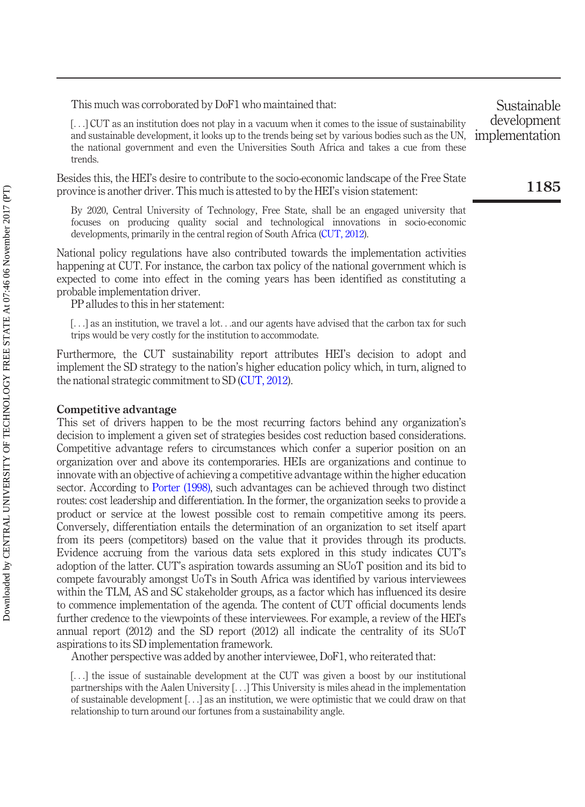This much was corroborated by DoF1 who maintained that:

[...] CUT as an institution does not play in a vacuum when it comes to the issue of sustainability and sustainable development, it looks up to the trends being set by various bodies such as the UN, the national government and even the Universities South Africa and takes a cue from these trends.

Besides this, the HEI's desire to contribute to the socio-economic landscape of the Free State province is another driver. This much is attested to by the HEI's vision statement:

By 2020, Central University of Technology, Free State, shall be an engaged university that focuses on producing quality social and technological innovations in socio-economic developments, primarily in the central region of South Africa [\(CUT, 2012](#page-12-3)).

National policy regulations have also contributed towards the implementation activities happening at CUT. For instance, the carbon tax policy of the national government which is expected to come into effect in the coming years has been identified as constituting a probable implementation driver.

PP alludes to this in her statement:

[...] as an institution, we travel a lot...and our agents have advised that the carbon tax for such trips would be very costly for the institution to accommodate.

Furthermore, the CUT sustainability report attributes HEI's decision to adopt and implement the SD strategy to the nation's higher education policy which, in turn, aligned to the national strategic commitment to SD [\(CUT, 2012\)](#page-12-3).

#### Competitive advantage

This set of drivers happen to be the most recurring factors behind any organization's decision to implement a given set of strategies besides cost reduction based considerations. Competitive advantage refers to circumstances which confer a superior position on an organization over and above its contemporaries. HEIs are organizations and continue to innovate with an objective of achieving a competitive advantage within the higher education sector. According to [Porter \(1998\)](#page-13-18), such advantages can be achieved through two distinct routes: cost leadership and differentiation. In the former, the organization seeks to provide a product or service at the lowest possible cost to remain competitive among its peers. Conversely, differentiation entails the determination of an organization to set itself apart from its peers (competitors) based on the value that it provides through its products. Evidence accruing from the various data sets explored in this study indicates CUT's adoption of the latter. CUT's aspiration towards assuming an SUoT position and its bid to compete favourably amongst UoTs in South Africa was identified by various interviewees within the TLM, AS and SC stakeholder groups, as a factor which has influenced its desire to commence implementation of the agenda. The content of CUT official documents lends further credence to the viewpoints of these interviewees. For example, a review of the HEI's annual report (2012) and the SD report (2012) all indicate the centrality of its SUoT aspirations to its SD implementation framework.

Another perspective was added by another interviewee, DoF1, who reiterated that:

[...] the issue of sustainable development at the CUT was given a boost by our institutional partnerships with the Aalen University [...] This University is miles ahead in the implementation of sustainable development  $[\ldots]$  as an institution, we were optimistic that we could draw on that relationship to turn around our fortunes from a sustainability angle.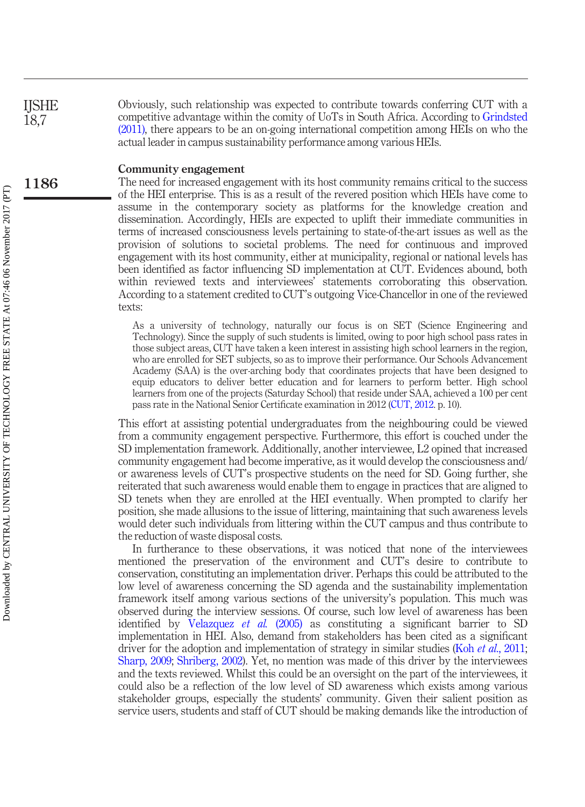Obviously, such relationship was expected to contribute towards conferring CUT with a competitive advantage within the comity of UoTs in South Africa. According to [Grindsted](#page-13-8) [\(2011\)](#page-13-8), there appears to be an on-going international competition among HEIs on who the actual leader in campus sustainability performance among various HEIs.

#### Community engagement

The need for increased engagement with its host community remains critical to the success of the HEI enterprise. This is as a result of the revered position which HEIs have come to assume in the contemporary society as platforms for the knowledge creation and dissemination. Accordingly, HEIs are expected to uplift their immediate communities in terms of increased consciousness levels pertaining to state-of-the-art issues as well as the provision of solutions to societal problems. The need for continuous and improved engagement with its host community, either at municipality, regional or national levels has been identified as factor influencing SD implementation at CUT. Evidences abound, both within reviewed texts and interviewees' statements corroborating this observation. According to a statement credited to CUT's outgoing Vice-Chancellor in one of the reviewed texts:

As a university of technology, naturally our focus is on SET (Science Engineering and Technology). Since the supply of such students is limited, owing to poor high school pass rates in those subject areas, CUT have taken a keen interest in assisting high school learners in the region, who are enrolled for SET subjects, so as to improve their performance. Our Schools Advancement Academy (SAA) is the over-arching body that coordinates projects that have been designed to equip educators to deliver better education and for learners to perform better. High school learners from one of the projects (Saturday School) that reside under SAA, achieved a 100 per cent pass rate in the National Senior Certificate examination in 2012 ([CUT, 2012.](#page-12-3) p. 10).

This effort at assisting potential undergraduates from the neighbouring could be viewed from a community engagement perspective. Furthermore, this effort is couched under the SD implementation framework. Additionally, another interviewee, L2 opined that increased community engagement had become imperative, as it would develop the consciousness and/ or awareness levels of CUT's prospective students on the need for SD. Going further, she reiterated that such awareness would enable them to engage in practices that are aligned to SD tenets when they are enrolled at the HEI eventually. When prompted to clarify her position, she made allusions to the issue of littering, maintaining that such awareness levels would deter such individuals from littering within the CUT campus and thus contribute to the reduction of waste disposal costs.

In furtherance to these observations, it was noticed that none of the interviewees mentioned the preservation of the environment and CUT's desire to contribute to conservation, constituting an implementation driver. Perhaps this could be attributed to the low level of awareness concerning the SD agenda and the sustainability implementation framework itself among various sections of the university's population. This much was observed during the interview sessions. Of course, such low level of awareness has been identified by [Velazquez](#page-14-9) *et al.*  $(2005)$  as constituting a significant barrier to SD implementation in HEI. Also, demand from stakeholders has been cited as a significant driver for the adoption and implementation of strategy in similar studies (Koh et al[., 2011](#page-13-10); [Sharp, 2009;](#page-14-10) [Shriberg, 2002\)](#page-14-11). Yet, no mention was made of this driver by the interviewees and the texts reviewed. Whilst this could be an oversight on the part of the interviewees, it could also be a reflection of the low level of SD awareness which exists among various stakeholder groups, especially the students' community. Given their salient position as service users, students and staff of CUT should be making demands like the introduction of

IJSHE 18,7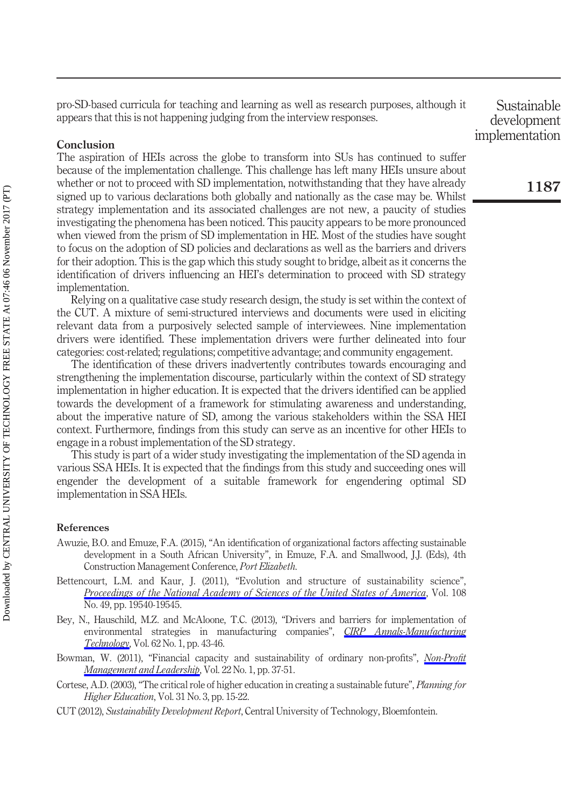pro-SD-based curricula for teaching and learning as well as research purposes, although it appears that this is not happening judging from the interview responses.

#### Conclusion

The aspiration of HEIs across the globe to transform into SUs has continued to suffer because of the implementation challenge. This challenge has left many HEIs unsure about whether or not to proceed with SD implementation, notwithstanding that they have already signed up to various declarations both globally and nationally as the case may be. Whilst strategy implementation and its associated challenges are not new, a paucity of studies investigating the phenomena has been noticed. This paucity appears to be more pronounced when viewed from the prism of SD implementation in HE. Most of the studies have sought to focus on the adoption of SD policies and declarations as well as the barriers and drivers for their adoption. This is the gap which this study sought to bridge, albeit as it concerns the identification of drivers influencing an HEI's determination to proceed with SD strategy implementation.

Relying on a qualitative case study research design, the study is set within the context of the CUT. A mixture of semi-structured interviews and documents were used in eliciting relevant data from a purposively selected sample of interviewees. Nine implementation drivers were identified. These implementation drivers were further delineated into four categories: cost-related; regulations; competitive advantage; and community engagement.

The identification of these drivers inadvertently contributes towards encouraging and strengthening the implementation discourse, particularly within the context of SD strategy implementation in higher education. It is expected that the drivers identified can be applied towards the development of a framework for stimulating awareness and understanding, about the imperative nature of SD, among the various stakeholders within the SSA HEI context. Furthermore, findings from this study can serve as an incentive for other HEIs to engage in a robust implementation of the SD strategy.

This study is part of a wider study investigating the implementation of the SD agenda in various SSA HEIs. It is expected that the findings from this study and succeeding ones will engender the development of a suitable framework for engendering optimal SD implementation in SSA HEIs.

#### References

- <span id="page-12-0"></span>Awuzie, B.O. and Emuze, F.A. (2015), "An identification of organizational factors affecting sustainable development in a South African University", in Emuze, F.A. and Smallwood, J.J. (Eds), 4th Construction Management Conference, Port Elizabeth.
- <span id="page-12-1"></span>Bettencourt, L.M. and Kaur, J. (2011), "Evolution and structure of sustainability science", [Proceedings of the National Academy of Sciences of the United States of America](http://www.emeraldinsight.com/action/showLinks?doi=10.1108%2FIJSHE-09-2016-0167&crossref=10.1073%2Fpnas.1102712108&isi=000297683800029&citationId=p_2), Vol. 108 No. 49, pp. 19540-19545.
- <span id="page-12-4"></span>Bey, N., Hauschild, M.Z. and McAloone, T.C. (2013), "Drivers and barriers for implementation of environmental strategies in manufacturing companies", [CIRP Annals-Manufacturing](http://www.emeraldinsight.com/action/showLinks?doi=10.1108%2FIJSHE-09-2016-0167&crossref=10.1016%2Fj.cirp.2013.03.001&isi=000322555800011&citationId=p_3) [Technology](http://www.emeraldinsight.com/action/showLinks?doi=10.1108%2FIJSHE-09-2016-0167&crossref=10.1016%2Fj.cirp.2013.03.001&isi=000322555800011&citationId=p_3), Vol. 62 No. 1, pp. 43-46.
- <span id="page-12-5"></span>Bowman, W. (2011), "Financial capacity and sustainability of ordinary non-profits", [Non-Pro](http://www.emeraldinsight.com/action/showLinks?doi=10.1108%2FIJSHE-09-2016-0167&crossref=10.1002%2Fnml.20039&isi=000294858700003&citationId=p_4)fit [Management and Leadership](http://www.emeraldinsight.com/action/showLinks?doi=10.1108%2FIJSHE-09-2016-0167&crossref=10.1002%2Fnml.20039&isi=000294858700003&citationId=p_4), Vol. 22 No. 1, pp. 37-51.
- <span id="page-12-2"></span>Cortese, A.D. (2003), "The critical role of higher education in creating a sustainable future", Planning for Higher Education, Vol. 31 No. 3, pp. 15-22.
- <span id="page-12-3"></span>CUT (2012), Sustainability Development Report, Central University of Technology, Bloemfontein.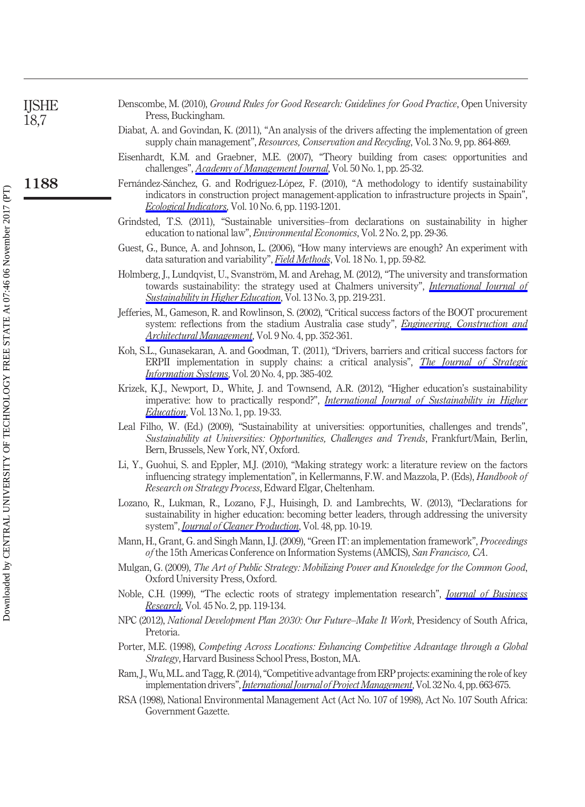| Denscombe, M. (2010), Ground Rules for Good Research: Guidelines for Good Practice, Open University |  |  |
|-----------------------------------------------------------------------------------------------------|--|--|
| Press, Buckingham.                                                                                  |  |  |

- <span id="page-13-16"></span><span id="page-13-12"></span>Diabat, A. and Govindan, K. (2011), "An analysis of the drivers affecting the implementation of green supply chain management", Resources, Conservation and Recycling, Vol. 3 No. 9, pp. 864-869.
- <span id="page-13-13"></span>Eisenhardt, K.M. and Graebner, M.E. (2007), "Theory building from cases: opportunities and challenges", *[Academy of Management Journal](http://www.emeraldinsight.com/action/showLinks?doi=10.1108%2FIJSHE-09-2016-0167&crossref=10.5465%2FAMJ.2007.24160888&isi=000244976900004&citationId=p_9)*, Vol. 50 No. 1, pp. 25-32.
- <span id="page-13-0"></span>Fernández-Sánchez, G. and Rodríguez-López, F. (2010), "A methodology to identify sustainability indicators in construction project management-application to infrastructure projects in Spain", [Ecological Indicators](http://www.emeraldinsight.com/action/showLinks?doi=10.1108%2FIJSHE-09-2016-0167&crossref=10.1016%2Fj.ecolind.2010.04.009&isi=000279521900015&citationId=p_10), Vol. 10 No. 6, pp. 1193-1201.
- <span id="page-13-8"></span>Grindsted, T.S. (2011), "Sustainable universities–from declarations on sustainability in higher education to national law", Environmental Economics, Vol. 2 No. 2, pp. 29-36.
- <span id="page-13-15"></span>Guest, G., Bunce, A. and Johnson, L. (2006), "How many interviews are enough? An experiment with data saturation and variability", [Field Methods](http://www.emeraldinsight.com/action/showLinks?doi=10.1108%2FIJSHE-09-2016-0167&crossref=10.1177%2F1525822X05279903&isi=000242853100004&citationId=p_12), Vol. 18 No. 1, pp. 59-82.
- <span id="page-13-17"></span>Holmberg, J., Lundqvist, U., Svanström, M. and Arehag, M. (2012), "The university and transformation towards sustainability: the strategy used at Chalmers university", *[International Journal of](http://www.emeraldinsight.com/action/showLinks?doi=10.1108%2FIJSHE-09-2016-0167&system=10.1108%2F14676371211242544&isi=000308524700003&citationId=p_13)* [Sustainability in Higher Education](http://www.emeraldinsight.com/action/showLinks?doi=10.1108%2FIJSHE-09-2016-0167&system=10.1108%2F14676371211242544&isi=000308524700003&citationId=p_13), Vol. 13 No. 3, pp. 219-231.
- <span id="page-13-14"></span>Jefferies, M., Gameson, R. and Rowlinson, S. (2002), "Critical success factors of the BOOT procurement system: reflections from the stadium Australia case study", *[Engineering, Construction and](http://www.emeraldinsight.com/action/showLinks?doi=10.1108%2FIJSHE-09-2016-0167&system=10.1108%2Feb021230&citationId=p_14)* [Architectural Management](http://www.emeraldinsight.com/action/showLinks?doi=10.1108%2FIJSHE-09-2016-0167&system=10.1108%2Feb021230&citationId=p_14), Vol. 9 No. 4, pp. 352-361.
- <span id="page-13-10"></span>Koh, S.L., Gunasekaran, A. and Goodman, T. (2011), "Drivers, barriers and critical success factors for ERPII implementation in supply chains: a critical analysis", *[The Journal of Strategic](http://www.emeraldinsight.com/action/showLinks?doi=10.1108%2FIJSHE-09-2016-0167&crossref=10.1016%2Fj.jsis.2011.07.001&isi=000298458800006&citationId=p_15)* [Information Systems](http://www.emeraldinsight.com/action/showLinks?doi=10.1108%2FIJSHE-09-2016-0167&crossref=10.1016%2Fj.jsis.2011.07.001&isi=000298458800006&citationId=p_15), Vol. 20 No. 4, pp. 385-402.
- <span id="page-13-1"></span>Krizek, K.J., Newport, D., White, J. and Townsend, A.R. (2012), "Higher education's sustainability imperative: how to practically respond?", [International Journal of Sustainability in Higher](http://www.emeraldinsight.com/action/showLinks?doi=10.1108%2FIJSHE-09-2016-0167&system=10.1108%2F14676371211190281&isi=000306672800003&citationId=p_16) *[Education](http://www.emeraldinsight.com/action/showLinks?doi=10.1108%2FIJSHE-09-2016-0167&system=10.1108%2F14676371211190281&isi=000306672800003&citationId=p_16)*, Vol. 13 No. 1, pp. 19-33.
- Leal Filho, W. (Ed.) (2009), "Sustainability at universities: opportunities, challenges and trends", Sustainability at Universities: Opportunities, Challenges and Trends, Frankfurt/Main, Berlin, Bern, Brussels, New York, NY, Oxford.
- <span id="page-13-7"></span>Li, Y., Guohui, S. and Eppler, M.J. (2010), "Making strategy work: a literature review on the factors influencing strategy implementation", in Kellermanns, F.W. and Mazzola, P. (Eds), Handbook of Research on Strategy Process, Edward Elgar, Cheltenham.
- <span id="page-13-2"></span>Lozano, R., Lukman, R., Lozano, F.J., Huisingh, D. and Lambrechts, W. (2013), "Declarations for sustainability in higher education: becoming better leaders, through addressing the university system", *[Journal of Cleaner Production](http://www.emeraldinsight.com/action/showLinks?doi=10.1108%2FIJSHE-09-2016-0167&crossref=10.1016%2Fj.jclepro.2011.10.006&isi=000320751000003&citationId=p_19)*, Vol. 48, pp. 10-19.
- <span id="page-13-11"></span>Mann, H., Grant, G. and Singh Mann, I.J. (2009), "Green IT: an implementation framework", Proceedings of the 15th Americas Conference on Information Systems (AMCIS), San Francisco, CA.
- <span id="page-13-5"></span>Mulgan, G. (2009), The Art of Public Strategy: Mobilizing Power and Knowledge for the Common Good, Oxford University Press, Oxford.
- <span id="page-13-6"></span>Noble, C.H. (1999), "The eclectic roots of strategy implementation research", [Journal of Business](http://www.emeraldinsight.com/action/showLinks?doi=10.1108%2FIJSHE-09-2016-0167&crossref=10.1016%2FS0148-2963%2897%2900231-2&isi=000081132300003&citationId=p_22) [Research](http://www.emeraldinsight.com/action/showLinks?doi=10.1108%2FIJSHE-09-2016-0167&crossref=10.1016%2FS0148-2963%2897%2900231-2&isi=000081132300003&citationId=p_22), Vol. 45 No. 2, pp. 119-134.
- <span id="page-13-4"></span>NPC (2012), National Development Plan 2030: Our Future–Make It Work, Presidency of South Africa, Pretoria.
- <span id="page-13-18"></span>Porter, M.E. (1998), Competing Across Locations: Enhancing Competitive Advantage through a Global Strategy, Harvard Business School Press, Boston, MA.
- <span id="page-13-9"></span>Ram, J.,Wu, M.L. and Tagg, R. (2014),"Competitive advantage from ERP projects: examining the role of key implementation drivers", *International Journal of Project Management*, Vol. 32 No. 4, pp. 663-675.
- <span id="page-13-3"></span>RSA (1998), National Environmental Management Act (Act No. 107 of 1998), Act No. 107 South Africa: Government Gazette.

IJSHE 18,7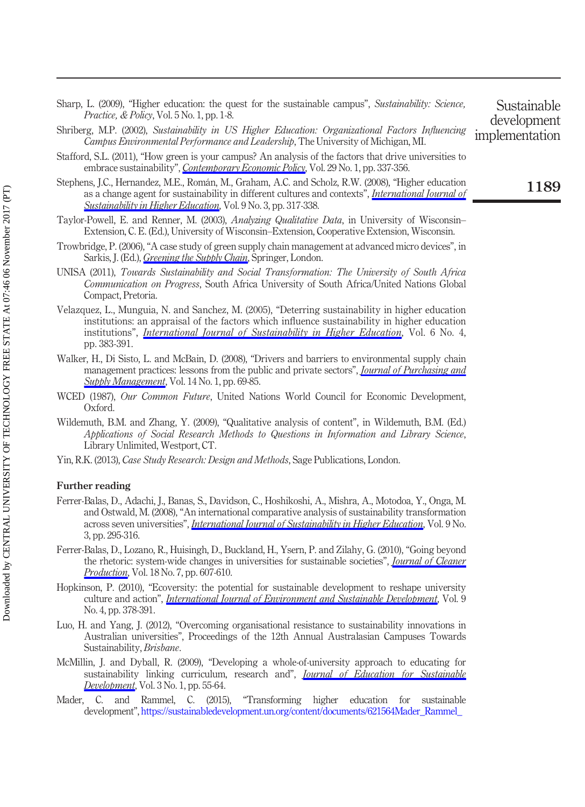<span id="page-14-11"></span><span id="page-14-10"></span><span id="page-14-8"></span><span id="page-14-7"></span><span id="page-14-6"></span>

| Sharp, L. (2009), "Higher education: the quest for the sustainable campus", Sustainability: Science,<br><i>Practice, &amp; Policy, Vol.</i> 5 No. 1, pp. 1-8.                                                                                                                                         | Sustainable<br>development |
|-------------------------------------------------------------------------------------------------------------------------------------------------------------------------------------------------------------------------------------------------------------------------------------------------------|----------------------------|
| Shriberg, M.P. (2002), Sustainability in US Higher Education: Organizational Factors Influencing<br>Campus Environmental Performance and Leadership, The University of Michigan, MI.                                                                                                                  | implementation             |
| Stafford, S.L. (2011), "How green is your campus? An analysis of the factors that drive universities to<br>embrace sustainability", <i>Contemporary Economic Policy</i> , Vol. 29 No. 1, pp. 337-356.                                                                                                 |                            |
| Stephens, J.C., Hernandez, M.E., Román, M., Graham, A.C. and Scholz, R.W. (2008), "Higher education<br>as a change agent for sustainability in different cultures and contexts", <i>International Iournal of</i><br>Sustainability in Higher Education, Vol. 9 No. 3, pp. 317-338.                    | 1189                       |
| Taylor-Powell, E. and Renner, M. (2003), Analyzing Qualitative Data, in University of Wisconsin-<br>Extension, C. E. (Ed.), University of Wisconsin–Extension, Cooperative Extension, Wisconsin.                                                                                                      |                            |
| Trowbridge, P. (2006), "A case study of green supply chain management at advanced micro devices", in<br>Sarkis, J. (Ed.), <i>Greening the Supply Chain</i> , Springer, London.                                                                                                                        |                            |
| UNISA (2011), Towards Sustainability and Social Transformation: The University of South Africa<br><i>Communication on Progress,</i> South Africa University of South Africa/United Nations Global<br>Compact, Pretoria.                                                                               |                            |
| Velazquez, L., Munguia, N. and Sanchez, M. (2005), "Deterring sustainability in higher education<br>institutions: an appraisal of the factors which influence sustainability in higher education<br>institutions", <i>International Journal of Sustainability in Higher Education</i> , Vol. 6 No. 4, |                            |

- <span id="page-14-3"></span>Walker, H., Di Sisto, L. and McBain, D. (2008), "Drivers and barriers to environmental supply chain management practices: lessons from the public and private sectors", *[Journal of Purchasing and](http://www.emeraldinsight.com/action/showLinks?doi=10.1108%2FIJSHE-09-2016-0167&crossref=10.1016%2Fj.pursup.2008.01.007&citationId=p_35)* [Supply Management](http://www.emeraldinsight.com/action/showLinks?doi=10.1108%2FIJSHE-09-2016-0167&crossref=10.1016%2Fj.pursup.2008.01.007&citationId=p_35), Vol. 14 No. 1, pp. 69-85.
- <span id="page-14-0"></span>WCED (1987), Our Common Future, United Nations World Council for Economic Development, Oxford.
- <span id="page-14-5"></span>Wildemuth, B.M. and Zhang, Y. (2009), "Qualitative analysis of content", in Wildemuth, B.M. (Ed.) Applications of Social Research Methods to Questions in Information and Library Science, Library Unlimited, Westport, CT.
- <span id="page-14-4"></span>Yin, R.K. (2013), Case Study Research: Design and Methods, Sage Publications, London.

#### Further reading

<span id="page-14-9"></span><span id="page-14-2"></span><span id="page-14-1"></span>pp. 383-391.

- Ferrer-Balas, D., Adachi, J., Banas, S., Davidson, C., Hoshikoshi, A., Mishra, A., Motodoa, Y., Onga, M. and Ostwald, M. (2008), "An international comparative analysis of sustainability transformation across seven universities", *[International Journal of Sustainability in Higher Education](http://www.emeraldinsight.com/action/showLinks?doi=10.1108%2FIJSHE-09-2016-0167&system=10.1108%2F14676370810885907&citationId=p_39)*, Vol. 9 No. 3, pp. 295-316.
- Ferrer-Balas, D., Lozano, R., Huisingh, D., Buckland, H., Ysern, P. and Zilahy, G. (2010), "Going beyond the rhetoric: system-wide changes in universities for sustainable societies", *[Journal of Cleaner](http://www.emeraldinsight.com/action/showLinks?doi=10.1108%2FIJSHE-09-2016-0167&crossref=10.1016%2Fj.jclepro.2009.12.009&isi=000277529200001&citationId=p_40)* [Production](http://www.emeraldinsight.com/action/showLinks?doi=10.1108%2FIJSHE-09-2016-0167&crossref=10.1016%2Fj.jclepro.2009.12.009&isi=000277529200001&citationId=p_40), Vol. 18 No. 7, pp. 607-610.
- Hopkinson, P. (2010), "Ecoversity: the potential for sustainable development to reshape university culture and action", *[International Journal of Environment and Sustainable Development](http://www.emeraldinsight.com/action/showLinks?doi=10.1108%2FIJSHE-09-2016-0167&crossref=10.1504%2FIJESD.2010.035615&citationId=p_41)*, Vol. 9 No. 4, pp. 378-391.
- Luo, H. and Yang, J. (2012), "Overcoming organisational resistance to sustainability innovations in Australian universities", Proceedings of the 12th Annual Australasian Campuses Towards Sustainability, Brisbane.
- McMillin, J. and Dyball, R. (2009), "Developing a whole-of-university approach to educating for sustainability linking curriculum, research and", *[Journal of Education for Sustainable](http://www.emeraldinsight.com/action/showLinks?doi=10.1108%2FIJSHE-09-2016-0167&crossref=10.1177%2F097340820900300113&citationId=p_43)* **[Development](http://www.emeraldinsight.com/action/showLinks?doi=10.1108%2FIJSHE-09-2016-0167&crossref=10.1177%2F097340820900300113&citationId=p_43)**, Vol. 3 No. 1, pp. 55-64.
- Mader, C. and Rammel, C. (2015), "Transforming higher education for sustainable development", [https://sustainabledevelopment.un.org/content/documents/621564Mader\\_Rammel\\_](https://sustainabledevelopment.un.org/content/documents/621564Mader_Rammel_Transforming &hx0025;20Higher&hx0025;20Education&hx0025;20for&hx0025;20Sustainable&hx0025;20Development.pdf)